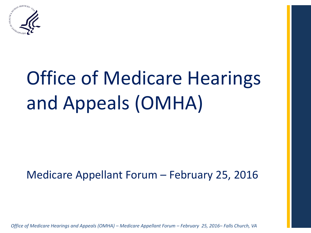

# Office of Medicare Hearings and Appeals (OMHA)

#### Medicare Appellant Forum – February 25, 2016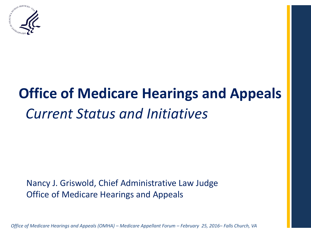

## *Current Status and Initiatives* **Office of Medicare Hearings and Appeals**

Nancy J. Griswold, Chief Administrative Law Judge Office of Medicare Hearings and Appeals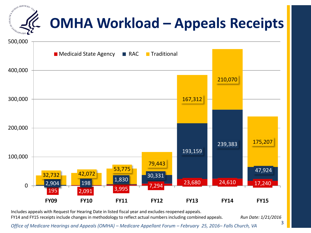

Includes appeals with Request for Hearing Date in listed fiscal year and excludes reopened appeals. FY14 and FY15 receipts include changes in methodology to reflect actual numbers including combined appeals. *Run Date: 1/21/2016*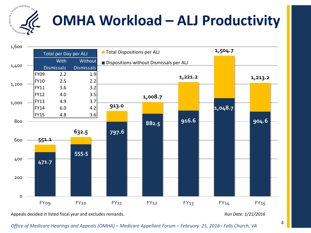

### **OMHA Workload – ALJ Productivity**



Appeals decided in listed fiscal year and excludes remands. *Run Date: 1/21/2016 Run Date: 1/21/2016*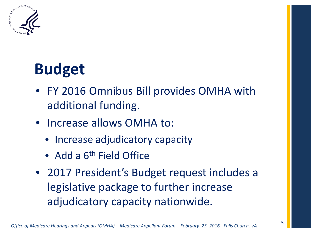

## **Budget**

- FY 2016 Omnibus Bill provides OMHA with additional funding.
- Increase allows OMHA to:
	- Increase adjudicatory capacity
	- Add a  $6<sup>th</sup>$  Field Office
- 2017 President's Budget request includes a legislative package to further increase adjudicatory capacity nationwide.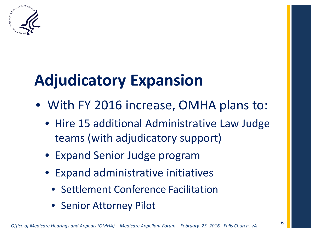

## **Adjudicatory Expansion**

- With FY 2016 increase, OMHA plans to:
	- Hire 15 additional Administrative Law Judge teams (with adjudicatory support)
	- Expand Senior Judge program
	- Expand administrative initiatives
		- Settlement Conference Facilitation
		- Senior Attorney Pilot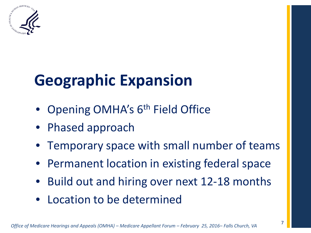

### **Geographic Expansion**

- Opening OMHA's 6<sup>th</sup> Field Office
- Phased approach
- Temporary space with small number of teams
- Permanent location in existing federal space
- Build out and hiring over next 12-18 months
- Location to be determined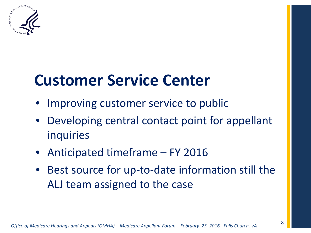

### **Customer Service Center**

- Improving customer service to public
- Developing central contact point for appellant inquiries
- Anticipated timeframe FY 2016
- Best source for up-to-date information still the ALJ team assigned to the case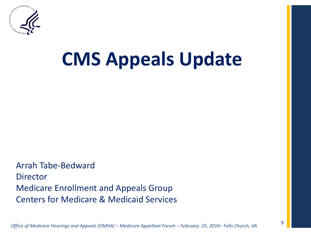

# **CMS Appeals Update**

Arrah Tabe-Bedward **Director** Medicare Enrollment and Appeals Group Centers for Medicare & Medicaid Services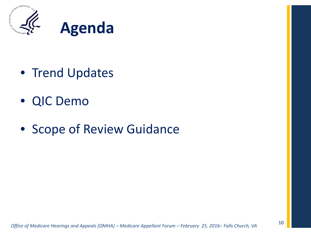

- Trend Updates
- QIC Demo
- Scope of Review Guidance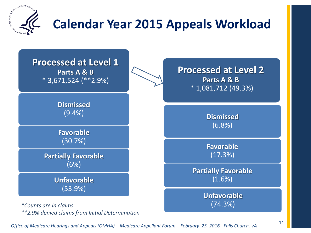

### **Calendar Year 2015 Appeals Workload**

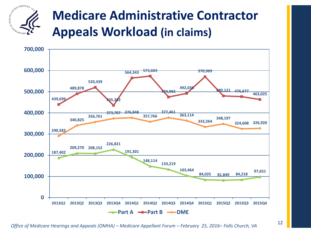

### **Medicare Administrative Contractor Appeals Workload (in claims)**

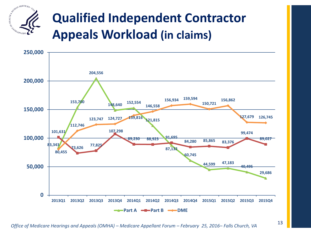

### **Qualified Independent Contractor Appeals Workload (in claims)**

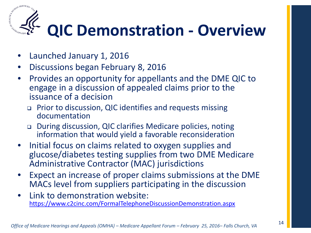

- Launched January 1, 2016
- Discussions began February 8, 2016
- Provides an opportunity for appellants and the DME QIC to engage in a discussion of appealed claims prior to the issuance of a decision
	- Prior to discussion, QIC identifies and requests missing documentation
	- During discussion, QIC clarifies Medicare policies, noting information that would yield a favorable reconsideration
- Initial focus on claims related to oxygen supplies and glucose/diabetes testing supplies from two DME Medicare Administrative Contractor (MAC) jurisdictions
- Expect an increase of proper claims submissions at the DME MACs level from suppliers participating in the discussion
- Link to demonstration website: <https://www.c2cinc.com/FormalTelephoneDiscussionDemonstration.aspx>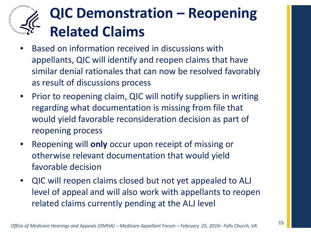

### **QIC Demonstration – Reopening Related Claims**

- Based on information received in discussions with appellants, QIC will identify and reopen claims that have similar denial rationales that can now be resolved favorably as result of discussions process
- Prior to reopening claim, QIC will notify suppliers in writing regarding what documentation is missing from file that would yield favorable reconsideration decision as part of reopening process
- Reopening will **only** occur upon receipt of missing or otherwise relevant documentation that would yield favorable decision
- QIC will reopen claims closed but not yet appealed to ALJ level of appeal and will also work with appellants to reopen related claims currently pending at the ALJ level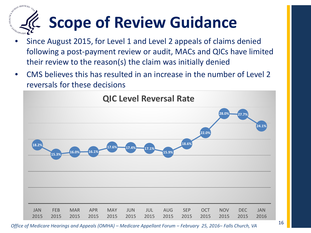### **PARTICLE AND REAL OF SERVICE Scope of Review Guidance**

- Since August 2015, for Level 1 and Level 2 appeals of claims denied following a post-payment review or audit, MACs and QICs have limited their review to the reason(s) the claim was initially denied
- CMS believes this has resulted in an increase in the number of Level 2 reversals for these decisions

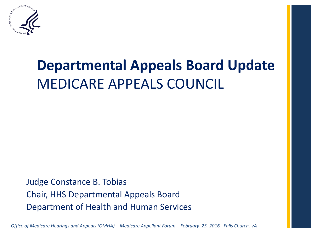

### **Departmental Appeals Board Update** MEDICARE APPEALS COUNCIL

Judge Constance B. Tobias Chair, HHS Departmental Appeals Board Department of Health and Human Services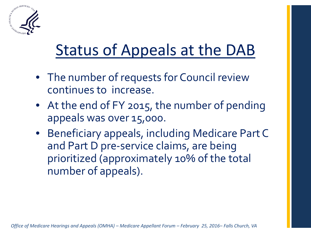

### Status of Appeals at the DAB

- The number of requests for Council review continues to increase.
- At the end of FY 2015, the number of pending appeals was over 15,000.
- Beneficiary appeals, including Medicare Part C and Part D pre-service claims, are being prioritized (approximately 10% of the total number of appeals).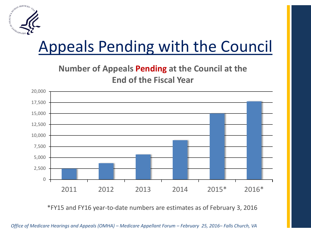

### Appeals Pending with the Council

**Number of Appeals Pending at the Council at the End of the Fiscal Year**



\*FY15 and FY16 year-to-date numbers are estimates as of February 3, 2016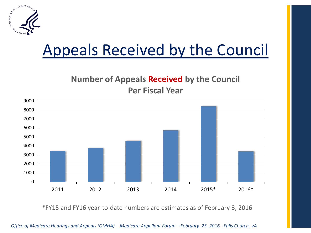

### Appeals Received by the Council

#### **Number of Appeals Received by the Council Per Fiscal Year**



\*FY15 and FY16 year-to-date numbers are estimates as of February 3, 2016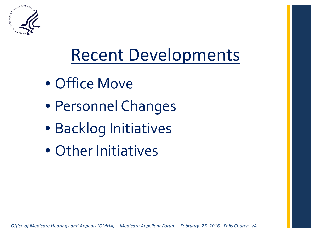

## Recent Developments

- Office Move
- Personnel Changes
- Backlog Initiatives
- Other Initiatives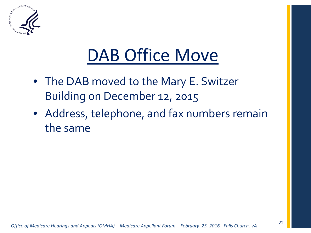

## DAB Office Move

- The DAB moved to the Mary E. Switzer Building on December 12, 2015
- Address, telephone, and fax numbers remain the same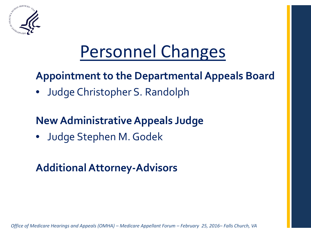

## Personnel Changes

#### **Appointment to the Departmental Appeals Board**

• Judge Christopher S. Randolph

#### **New Administrative Appeals Judge**

• Judge Stephen M. Godek

#### **Additional Attorney-Advisors**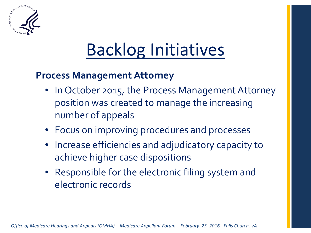

## Backlog Initiatives

#### **Process Management Attorney**

- In October 2015, the Process Management Attorney position was created to manage the increasing number of appeals
- Focus on improving procedures and processes
- Increase efficiencies and adjudicatory capacity to achieve higher case dispositions
- Responsible for the electronic filing system and electronic records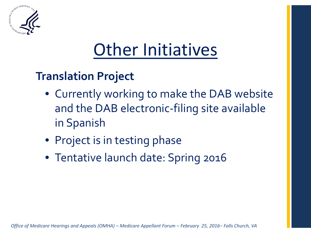

## Other Initiatives

#### **Translation Project**

- Currently working to make the DAB website and the DAB electronic-filing site available in Spanish
- Project is in testing phase
- Tentative launch date: Spring 2016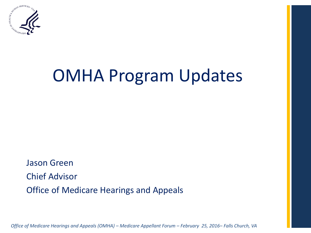

## OMHA Program Updates

Jason Green Chief Advisor Office of Medicare Hearings and Appeals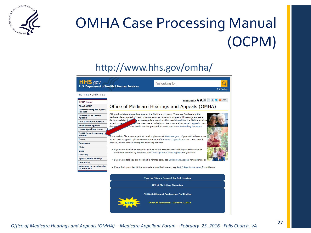

### OMHA Case Processing Manual (OCPM)

#### http://www.hhs.gov/omha/

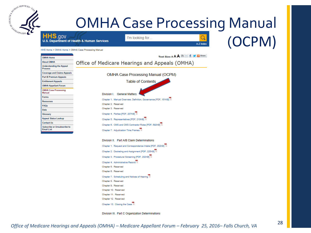

### OMHA Case Processing Manual

| <b>HHS.gov</b>                                          | I'm looking for<br>U.S. Department of Health & Human Services<br>A-Z Index                              | (OCPM) |
|---------------------------------------------------------|---------------------------------------------------------------------------------------------------------|--------|
| IHS Home > OMHA Home > OMHA Case Processing Manual      |                                                                                                         |        |
| <b>OMHA Home</b>                                        | Text Size: A A A B   f J G Share                                                                        |        |
| <b>About OMHA</b>                                       |                                                                                                         |        |
| <b>Understanding the Appeal</b><br><b>Process</b>       | Office of Medicare Hearings and Appeals (OMHA)                                                          |        |
| <b>Coverage and Claims Appeals</b>                      | <b>OMHA Case Processing Manual (OCPM)</b>                                                               |        |
| <b>Part B Premium Appeals</b>                           |                                                                                                         |        |
| <b>Entitlement Appeals</b>                              | <b>Table of Contents</b>                                                                                |        |
| <b>OMHA Appellant Forum</b>                             |                                                                                                         |        |
| <b>OMHA Case Processing</b><br>Manual                   | Division I. General Matters                                                                             |        |
| Forms                                                   | Chapter 1. Manual Overview, Definition, Governance [PDF, 151KB] &                                       |        |
| <b>Resources</b>                                        |                                                                                                         |        |
| <b>FAQs</b>                                             | Chapter 2. Reserved                                                                                     |        |
| <b>Data</b>                                             | Chapter 3. Reserved                                                                                     |        |
| Glossary                                                | Chapter 4. Parties [PDF, 207KB]                                                                         |        |
| <b>Appeal Status Lookup</b>                             | Chapter 5. Representatives [PDF, 210KB]                                                                 |        |
| <b>Contact Us</b>                                       | Chapter 6. CMS and CMS Contractor Roles [PDF, 592KB] &                                                  |        |
| <b>Subscribe or Unsubscribe to</b><br><b>Email List</b> | Chapter 7. Adjudication Time Frames                                                                     |        |
|                                                         | Division II. Part A/B Claim Determinations<br>Chapter 1. Request and Correspondence Intake [PDF, 202KB] |        |
|                                                         | Chapter 2. Docketing and Assignment [PDF, 225KB]                                                        |        |
|                                                         | Chapter 3. Procedural Screening [PDF, 202KB]                                                            |        |
|                                                         | Chapter 4. Administrative Record                                                                        |        |
|                                                         | Chapter 5. Reserved                                                                                     |        |
|                                                         | Chapter 6. Reserved                                                                                     |        |
|                                                         | Chapter 7. Scheduling and Notices of Hearing &                                                          |        |
|                                                         | Chapter 8. Reserved                                                                                     |        |
|                                                         | Chapter 9. Reserved                                                                                     |        |
|                                                         | Chapter 10. Reserved                                                                                    |        |
|                                                         | Chapter 11. Reserved                                                                                    |        |
|                                                         | Chapter 12. Reserved                                                                                    |        |

Division III. Part C Organization Determinations

Chapter 13. Closing the Case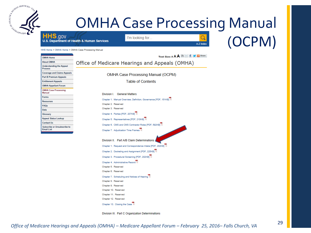

HHS **H** 

### OMHA Case Processing Manual

| <b>HHS.gov</b>                                          |                                                | I'm looking for                                                   |                                  |
|---------------------------------------------------------|------------------------------------------------|-------------------------------------------------------------------|----------------------------------|
|                                                         | U.S. Department of Health & Human Services     |                                                                   | A-Z Index                        |
| HHS Home > OMHA Home > OMHA Case Processing Manual      |                                                |                                                                   |                                  |
|                                                         |                                                |                                                                   | Text Size: A A A B   f J C Share |
| <b>OMHA Home</b>                                        |                                                |                                                                   |                                  |
| <b>About OMHA</b>                                       | Office of Medicare Hearings and Appeals (OMHA) |                                                                   |                                  |
| <b>Understanding the Appeal</b><br><b>Process</b>       |                                                |                                                                   |                                  |
| <b>Coverage and Claims Appeals</b>                      |                                                | <b>OMHA Case Processing Manual (OCPM)</b>                         |                                  |
| <b>Part B Premium Appeals</b>                           |                                                |                                                                   |                                  |
| <b>Entitlement Appeals</b>                              |                                                | <b>Table of Contents</b>                                          |                                  |
| <b>OMHA Appellant Forum</b>                             |                                                |                                                                   |                                  |
| <b>OMHA Case Processing</b><br>Manual                   | Division I. General Matters                    |                                                                   |                                  |
| <b>Forms</b>                                            |                                                | Chapter 1. Manual Overview, Definition, Governance [PDF, 151KB] & |                                  |
| <b>Resources</b>                                        |                                                |                                                                   |                                  |
| <b>FAQs</b>                                             | Chapter 2. Reserved                            |                                                                   |                                  |
| <b>Data</b>                                             | Chapter 3. Reserved                            |                                                                   |                                  |
| Glossary                                                | Chapter 4. Parties [PDF, 207KB]                |                                                                   |                                  |
| <b>Appeal Status Lookup</b>                             | Chapter 5. Representatives [PDF, 210KB] &      |                                                                   |                                  |
| <b>Contact Us</b>                                       |                                                | Chapter 6. CMS and CMS Contractor Roles [PDF, 592KB]              |                                  |
| <b>Subscribe or Unsubscribe to</b><br><b>Email List</b> | Chapter 7. Adjudication Time Frames            |                                                                   |                                  |
|                                                         |                                                | Division II. Part A/B Claim Determinations                        |                                  |
|                                                         |                                                | Chapter 1. Request and Correspondence Intake [PDF, 202KB] &       |                                  |
|                                                         |                                                | Chapter 2. Docketing and Assignment [PDF, 225KB]                  |                                  |
|                                                         |                                                | Chapter 3. Procedural Screening [PDF, 202KB]                      |                                  |
|                                                         | Chapter 4. Administrative Record &             |                                                                   |                                  |
|                                                         | Chapter 5. Reserved                            |                                                                   |                                  |
|                                                         | Chapter 6. Reserved                            |                                                                   |                                  |
|                                                         |                                                | Chapter 7. Scheduling and Notices of Hearing &                    |                                  |
|                                                         | Chapter 8. Reserved                            |                                                                   |                                  |
|                                                         | Chenter 9 Recented                             |                                                                   |                                  |

Division III. Part C Organization Determinations

Chapter 10. Reserved Chapter 11. Reserved Chapter 12. Reserved Chapter 13. Closing the Case (OCPM)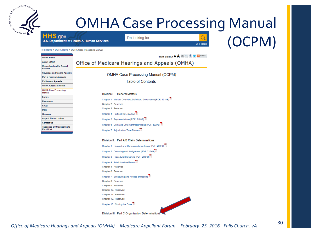

### OMHA Case Processing Manual

A-Z Index

**HHS**.gov **U.S. Department of Health & Human Services** 

I'm looking for...

HHS Home > OMHA Home > OMHA Case Processing Manual

|                                                         | Text Size: A A A B   f   Share                                    |  |
|---------------------------------------------------------|-------------------------------------------------------------------|--|
| <b>OMHA Home</b>                                        |                                                                   |  |
| <b>About OMHA</b>                                       | Office of Medicare Hearings and Appeals (OMHA)                    |  |
| <b>Understanding the Appeal</b><br><b>Process</b>       |                                                                   |  |
| <b>Coverage and Claims Appeals</b>                      | OMHA Case Processing Manual (OCPM)                                |  |
| <b>Part B Premium Appeals</b>                           |                                                                   |  |
| <b>Entitlement Appeals</b>                              | <b>Table of Contents</b>                                          |  |
| <b>OMHA Appellant Forum</b>                             |                                                                   |  |
| <b>OMHA Case Processing</b><br><b>Manual</b>            | Division I. General Matters                                       |  |
| <b>Forms</b>                                            |                                                                   |  |
| <b>Resources</b>                                        | Chapter 1. Manual Overview, Definition, Governance [PDF, 151KB] & |  |
| FAQs                                                    | Chapter 2. Reserved                                               |  |
| <b>Data</b>                                             | Chapter 3. Reserved                                               |  |
| Glossary                                                | Chapter 4. Parties [PDF, 207KB]                                   |  |
| <b>Appeal Status Lookup</b>                             | Chapter 5. Representatives [PDF, 210KB]                           |  |
| <b>Contact Us</b>                                       | Chapter 6. CMS and CMS Contractor Roles [PDF, 592KB]              |  |
| <b>Subscribe or Unsubscribe to</b><br><b>Email List</b> | Chapter 7. Adjudication Time Frames &                             |  |
|                                                         |                                                                   |  |
|                                                         | Division II. Part A/B Claim Determinations                        |  |
|                                                         | Chapter 1. Request and Correspondence Intake [PDF, 202KB]         |  |
|                                                         | Chapter 2. Docketing and Assignment [PDF, 225KB]                  |  |
|                                                         | Chapter 3. Procedural Screening [PDF, 202KB]                      |  |
|                                                         | Chapter 4. Administrative Record                                  |  |
|                                                         | Chapter 5. Reserved                                               |  |
|                                                         | Chapter 6. Reserved                                               |  |
|                                                         | Chapter 7. Scheduling and Notices of Hearing                      |  |
|                                                         | Chapter 8. Reserved                                               |  |
|                                                         | Chapter 9. Reserved                                               |  |
|                                                         | Chapter 10. Reserved                                              |  |
|                                                         | Chapter 11. Reserved                                              |  |

Division III. Part C Organization Determinations

Chapter 12. Reserved Chapter 13. Closing the Case (OCPM)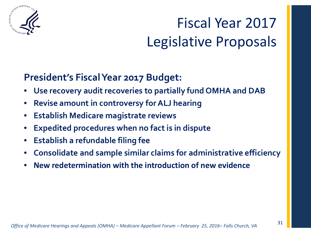

### Fiscal Year 2017 Legislative Proposals

#### **President's Fiscal Year 2017 Budget:**

- **Use recovery audit recoveries to partially fund OMHA and DAB**
- **Revise amount in controversy for ALJ hearing**
- **Establish Medicare magistrate reviews**
- **Expedited procedures when no fact is in dispute**
- **Establish a refundable filing fee**
- **Consolidate and sample similar claims for administrative efficiency**
- **New redetermination with the introduction of new evidence**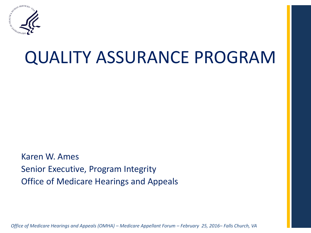

### QUALITY ASSURANCE PROGRAM

Karen W. Ames Senior Executive, Program Integrity Office of Medicare Hearings and Appeals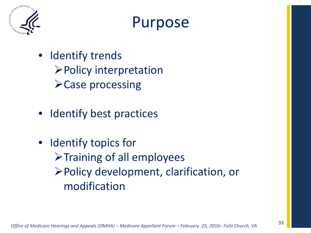

### Purpose

- Identify trends Policy interpretation Case processing
- Identify best practices
- Identify topics for  $\triangleright$ Training of all employees Policy development, clarification, or modification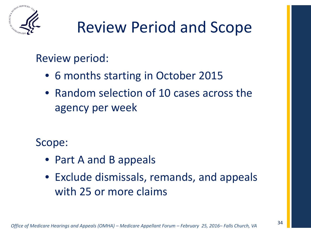

## Review Period and Scope

Review period:

- 6 months starting in October 2015
- Random selection of 10 cases across the agency per week

Scope:

- Part A and B appeals
- Exclude dismissals, remands, and appeals with 25 or more claims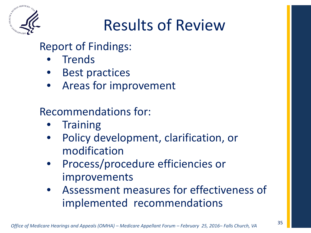

### Results of Review

#### Report of Findings:

- **Frends**
- **Best practices**
- Areas for improvement

#### Recommendations for:

- **Training**
- Policy development, clarification, or modification
- Process/procedure efficiencies or improvements
- Assessment measures for effectiveness of implemented recommendations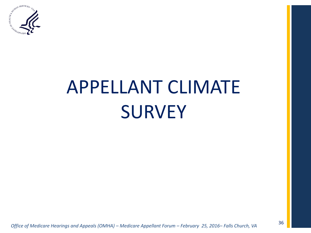

# APPELLANT CLIMATE **SURVEY**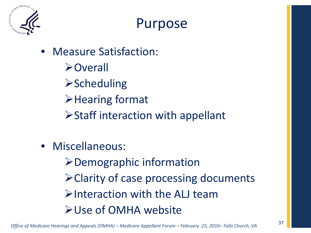

### Purpose

- Measure Satisfaction: **>Overall** 
	- $\triangleright$ Scheduling
	- Hearing format
	- Staff interaction with appellant
- Miscellaneous:
	- Demographic information Clarity of case processing documents Interaction with the ALJ team Use of OMHA website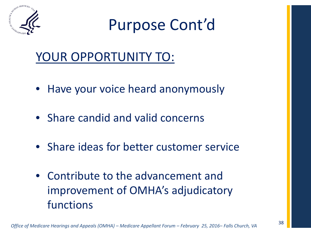

Purpose Cont'd

### YOUR OPPORTUNITY TO:

- Have your voice heard anonymously
- Share candid and valid concerns
- Share ideas for better customer service
- Contribute to the advancement and improvement of OMHA's adjudicatory functions

*Office of Medicare Hearings and Appeals (OMHA) – Medicare Appellant Forum – February 25, 2016– Falls Church, VA*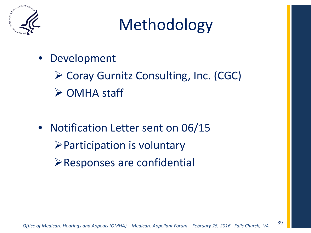

### Methodology

- **Development** 
	- ▶ Coray Gurnitz Consulting, Inc. (CGC) **≻ OMHA staff**

• Notification Letter sent on 06/15  $\triangleright$  Participation is voluntary Responses are confidential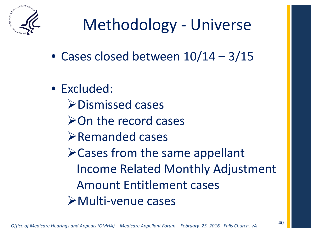

### Methodology - Universe

- Cases closed between 10/14 3/15
- Excluded:
	- Dismissed cases
	- $\triangleright$  On the record cases
	- Remanded cases
	- Cases from the same appellant Income Related Monthly Adjustment Amount Entitlement cases Multi-venue cases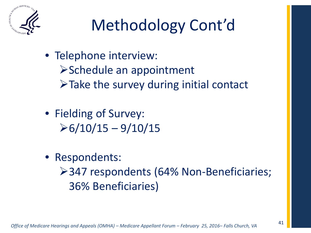

### Methodology Cont'd

- Telephone interview: Schedule an appointment  $\triangleright$  Take the survey during initial contact
- Fielding of Survey:  $\geq 6/10/15 - 9/10/15$
- Respondents:

**≻347 respondents (64% Non-Beneficiaries;** 36% Beneficiaries)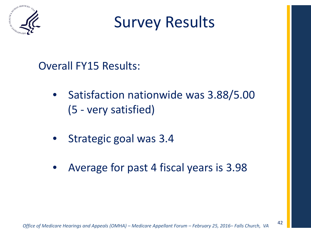

Survey Results

Overall FY15 Results:

- Satisfaction nationwide was 3.88/5.00 (5 - very satisfied)
- Strategic goal was 3.4
- Average for past 4 fiscal years is 3.98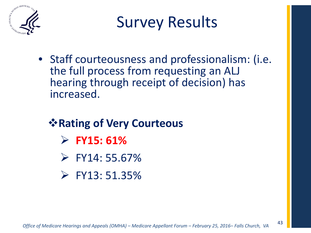

Survey Results

- Staff courteousness and professionalism: (i.e. the full process from requesting an ALJ hearing through receipt of decision) has increased.
	- *<b>☆ Rating of Very Courteous*  **FY15: 61%**  $\triangleright$  FY14: 55.67%  $\triangleright$  FY13: 51.35%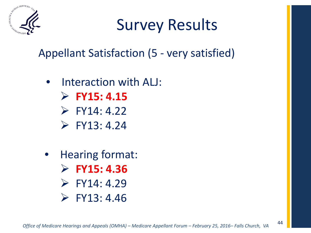

### Survey Results

Appellant Satisfaction (5 - very satisfied)

- Interaction with ALJ: **FY15: 4.15**  $\triangleright$  FY14: 4.22  $\triangleright$  FY13: 4.24
- Hearing format: **FY15: 4.36**  $\triangleright$  FY14: 4.29  $\triangleright$  FY13: 4.46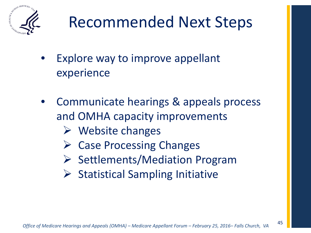

### Recommended Next Steps

- Explore way to improve appellant experience
- Communicate hearings & appeals process and OMHA capacity improvements
	- $\triangleright$  Website changes
	- $\triangleright$  Case Processing Changes
	- $\triangleright$  Settlements/Mediation Program
	- $\triangleright$  Statistical Sampling Initiative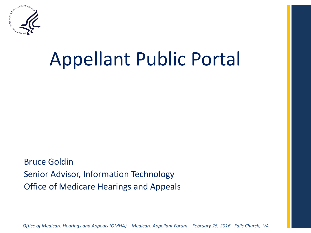

## Appellant Public Portal

Bruce Goldin Senior Advisor, Information Technology Office of Medicare Hearings and Appeals

 *Office of Medicare Hearings and Appeals (OMHA) – Medicare Appellant Forum – February 25, 2016– Falls Church, VA*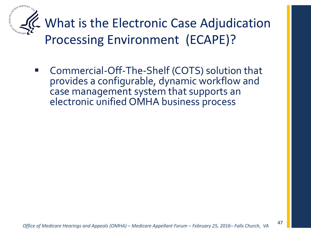

What is the Electronic Case Adjudication Processing Environment (ECAPE)?

 Commercial-Off-The-Shelf (COTS) solution that provides a configurable, dynamic workflow and case management system that supports an electronic unified OMHA business process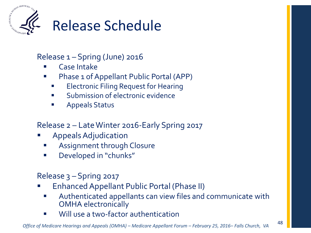

### Release Schedule

#### Release 1 – Spring (June) 2016

- Case Intake
- Phase 1 of Appellant Public Portal (APP)
	- Electronic Filing Request for Hearing
	- Submission of electronic evidence
	- Appeals Status

#### Release 2 – Late Winter 2016-Early Spring 2017

- Appeals Adjudication
	- Assignment through Closure
	- **Developed in "chunks"**

#### Release 3 – Spring 2017

- Enhanced Appellant Public Portal (Phase II)
	- Authenticated appellants can view files and communicate with OMHA electronically
	- Will use a two-factor authentication

 *Office of Medicare Hearings and Appeals (OMHA) – Medicare Appellant Forum – February 25, 2016– Falls Church, VA*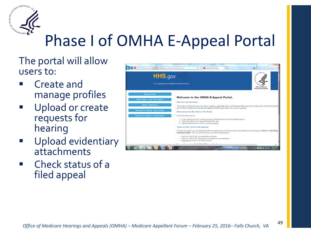

### Phase I of OMHA E-Appeal Portal

The portal will allow users to:

- Create and manage profiles
- **Upload or create** requests for hearing
- Upload evidentiary attachments
- Check status of a filed appeal

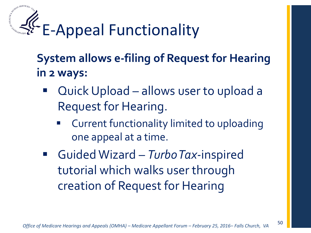

### **System allows e-filing of Request for Hearing in 2 ways:**

- Quick Upload allows user to upload a Request for Hearing.
	- Current functionality limited to uploading one appeal at a time.
- Guided Wizard *Turbo Tax-*inspired tutorial which walks user through creation of Request for Hearing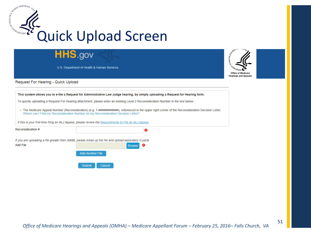

#### **HHS.gov**

U.S. Department of Health & Human Services



Request For Hearing - Quick Upload

| This system allows you to e-file a Request for Administrative Law Judge hearing, by simply uploading a Request for Hearing form.                                                                                                       |                                                                                                                                      |  |
|----------------------------------------------------------------------------------------------------------------------------------------------------------------------------------------------------------------------------------------|--------------------------------------------------------------------------------------------------------------------------------------|--|
| To quickly uploading a Request For Hearing attachment, please enter an existing Level 2 Reconsideration Number in the box below:                                                                                                       |                                                                                                                                      |  |
| • The Medicare Appeal Number (Reconsideration) (e.g. 1-###########), referenced in the upper right corner of the Reconsideration Decision Letter.<br>Where can I Find my Reconsideration Number on my Reconsideration Decision Letter? |                                                                                                                                      |  |
| If this is your first time filing an ALJ Appeal, please review the Requirements to File an ALJ appeal.                                                                                                                                 |                                                                                                                                      |  |
| Reconsideration #                                                                                                                                                                                                                      | ®                                                                                                                                    |  |
| Add File                                                                                                                                                                                                                               | If you are uploading a file greater then 50MB, please break up the file and upload separately in parts<br>$\bullet$<br><b>Browse</b> |  |
|                                                                                                                                                                                                                                        | <b>Add Another File</b>                                                                                                              |  |
|                                                                                                                                                                                                                                        | Submit<br>Cancel                                                                                                                     |  |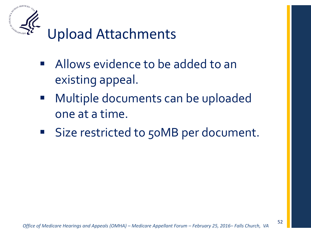

### Upload Attachments

- Allows evidence to be added to an existing appeal.
- **Multiple documents can be uploaded** one at a time.
- Size restricted to 50MB per document.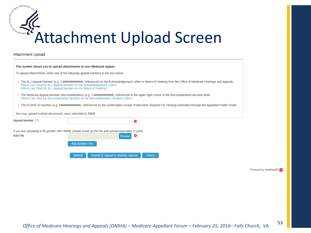

#### **Attachment Upload**

|                                                             | This system allows you to upload attachments to your Medicare appeal.                                                                                                                                                                  |
|-------------------------------------------------------------|----------------------------------------------------------------------------------------------------------------------------------------------------------------------------------------------------------------------------------------|
|                                                             | To upload attachments, enter one of the following appeal numbers in the box below:                                                                                                                                                     |
|                                                             | Where can I find my ALJ Appeal Number on the Acknowledgement Letter?<br>Where can I find my ALJ Appeal Number on my Notice of Hearing?                                                                                                 |
|                                                             | • The Medicare Appeal Number (Reconsideration) (e.g. 1-############), referenced in the upper right corner of the Reconsideration decision letter<br>Where can I find my Reconsideration Number on my Reconsideration Decision Letter? |
|                                                             | • The ECAPE ID Number (e.g. E#############), referenced on the confirmation receipt of electronic Request For Hearing Submiited through the Appellant Public Portal                                                                    |
| You may upload multiple documents, each restricted to 50MB. |                                                                                                                                                                                                                                        |
| Appeal Number [?]                                           | ®                                                                                                                                                                                                                                      |
| Add File                                                    | If you are uploading a file greater then 50MB, please break up the file and upload separately in parts<br>®<br><b>Browse</b>                                                                                                           |
|                                                             | <b>Add Another File</b>                                                                                                                                                                                                                |
|                                                             | Submit & Upload to Another Appeal<br>Submit<br>Cancel                                                                                                                                                                                  |

Powered by entellitrak®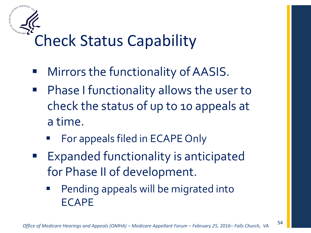# $_6$  of HEALTH  $_6$ Check Status Capability

- **Mirrors the functionality of AASIS.**
- **Phase I functionality allows the user to** check the status of up to 10 appeals at a time.
	- For appeals filed in ECAPE Only
- Expanded functionality is anticipated for Phase II of development.
	- **Pending appeals will be migrated into** ECAPE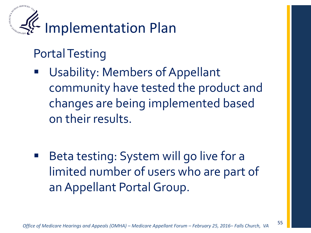

### Portal Testing

- Usability: Members of Appellant community have tested the product and changes are being implemented based on their results.
- Beta testing: System will go live for a limited number of users who are part of an Appellant Portal Group.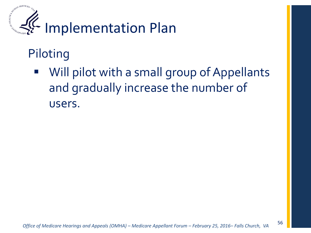

### Piloting

■ Will pilot with a small group of Appellants and gradually increase the number of users.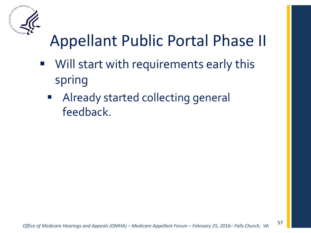

### Appellant Public Portal Phase II

- **Will start with requirements early this** spring
	- **Already started collecting general** feedback.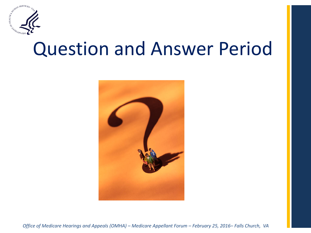

### Question and Answer Period



 *Office of Medicare Hearings and Appeals (OMHA) – Medicare Appellant Forum – February 25, 2016– Falls Church, VA*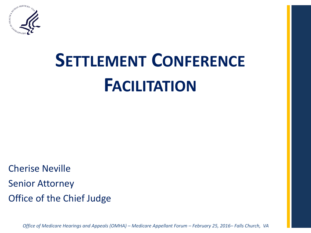

# **SETTLEMENT CONFERENCE FACILITATION**

Cherise Neville Senior Attorney Office of the Chief Judge

 *Office of Medicare Hearings and Appeals (OMHA) – Medicare Appellant Forum – February 25, 2016– Falls Church, VA*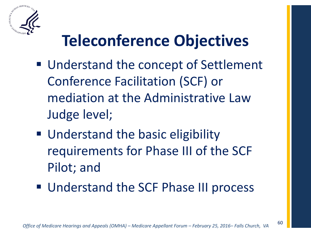

### **Teleconference Objectives**

- Understand the concept of Settlement Conference Facilitation (SCF) or mediation at the Administrative Law Judge level;
- Understand the basic eligibility requirements for Phase III of the SCF Pilot; and
- Understand the SCF Phase III process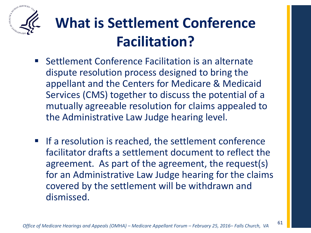

### **What is Settlement Conference Facilitation?**

- Settlement Conference Facilitation is an alternate dispute resolution process designed to bring the appellant and the Centers for Medicare & Medicaid Services (CMS) together to discuss the potential of a mutually agreeable resolution for claims appealed to the Administrative Law Judge hearing level.
- **If a resolution is reached, the settlement conference** facilitator drafts a settlement document to reflect the agreement. As part of the agreement, the request(s) for an Administrative Law Judge hearing for the claims covered by the settlement will be withdrawn and dismissed.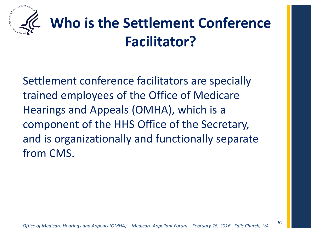

### **Who is the Settlement Conference Facilitator?**

Settlement conference facilitators are specially trained employees of the Office of Medicare Hearings and Appeals (OMHA), which is a component of the HHS Office of the Secretary, and is organizationally and functionally separate from CMS.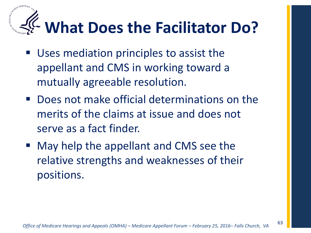# **What Does the Facilitator Do?**

- Uses mediation principles to assist the appellant and CMS in working toward a mutually agreeable resolution.
- **Does not make official determinations on the** merits of the claims at issue and does not serve as a fact finder.
- May help the appellant and CMS see the relative strengths and weaknesses of their positions.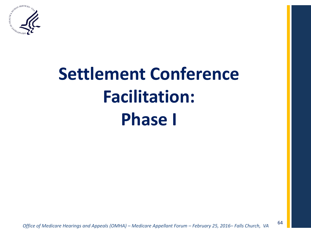

## **Settlement Conference Facilitation: Phase I**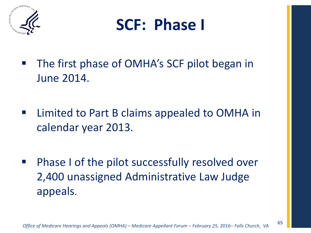

**SCF: Phase I**

- The first phase of OMHA's SCF pilot began in June 2014.
- **EXTERG** 10 Limited to Part B claims appealed to OMHA in calendar year 2013.
- Phase I of the pilot successfully resolved over 2,400 unassigned Administrative Law Judge appeals.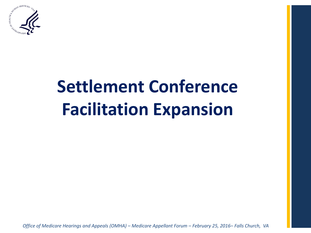

# **Settlement Conference Facilitation Expansion**

 *Office of Medicare Hearings and Appeals (OMHA) – Medicare Appellant Forum – February 25, 2016– Falls Church, VA*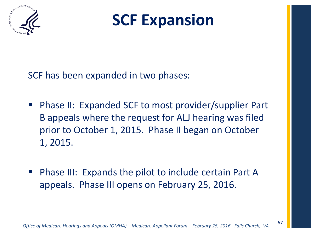

**SCF Expansion**

SCF has been expanded in two phases:

- Phase II: Expanded SCF to most provider/supplier Part B appeals where the request for ALJ hearing was filed prior to October 1, 2015. Phase II began on October 1, 2015.
- Phase III: Expands the pilot to include certain Part A appeals. Phase III opens on February 25, 2016.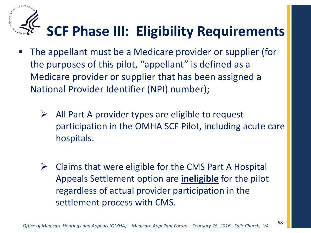# **SCF Phase III: Eligibility Requirements**

- The appellant must be a Medicare provider or supplier (for the purposes of this pilot, "appellant" is defined as a Medicare provider or supplier that has been assigned a National Provider Identifier (NPI) number);
	- $\triangleright$  All Part A provider types are eligible to request participation in the OMHA SCF Pilot, including acute care hospitals.
	- $\triangleright$  Claims that were eligible for the CMS Part A Hospital Appeals Settlement option are **ineligible** for the pilot regardless of actual provider participation in the settlement process with CMS.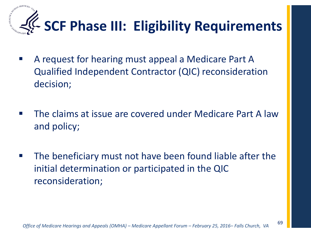

- A request for hearing must appeal a Medicare Part A Qualified Independent Contractor (QIC) reconsideration decision;
- The claims at issue are covered under Medicare Part A law and policy;
- **The beneficiary must not have been found liable after the** initial determination or participated in the QIC reconsideration;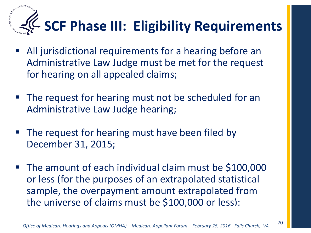# **SCF Phase III: Eligibility Requirements**

- All jurisdictional requirements for a hearing before an Administrative Law Judge must be met for the request for hearing on all appealed claims;
- **The request for hearing must not be scheduled for an** Administrative Law Judge hearing;
- **The request for hearing must have been filed by** December 31, 2015;
- The amount of each individual claim must be \$100,000 or less (for the purposes of an extrapolated statistical sample, the overpayment amount extrapolated from the universe of claims must be \$100,000 or less);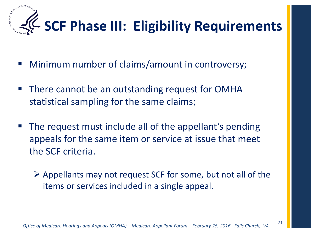

- Minimum number of claims/amount in controversy;
- There cannot be an outstanding request for OMHA statistical sampling for the same claims;
- The request must include all of the appellant's pending appeals for the same item or service at issue that meet the SCF criteria.
	- $\triangleright$  Appellants may not request SCF for some, but not all of the items or services included in a single appeal.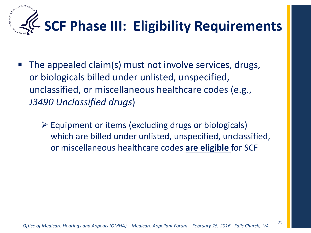

- The appealed claim(s) must not involve services, drugs, or biologicals billed under unlisted, unspecified, unclassified, or miscellaneous healthcare codes (e.g., *J3490 Unclassified drugs*)
	- $\triangleright$  Equipment or items (excluding drugs or biologicals) which are billed under unlisted, unspecified, unclassified, or miscellaneous healthcare codes **are eligible** for SCF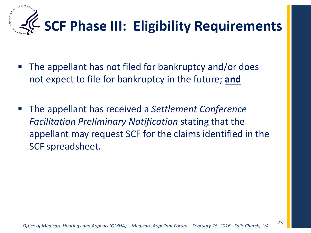

- The appellant has not filed for bankruptcy and/or does not expect to file for bankruptcy in the future; **and**
- The appellant has received a *Settlement Conference Facilitation Preliminary Notification* stating that the appellant may request SCF for the claims identified in the SCF spreadsheet.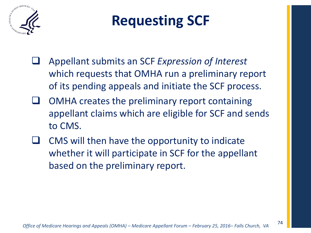

## **Requesting SCF**

- Appellant submits an SCF *Expression of Interest*  which requests that OMHA run a preliminary report of its pending appeals and initiate the SCF process.
- OMHA creates the preliminary report containing appellant claims which are eligible for SCF and sends to CMS.
- CMS will then have the opportunity to indicate whether it will participate in SCF for the appellant based on the preliminary report.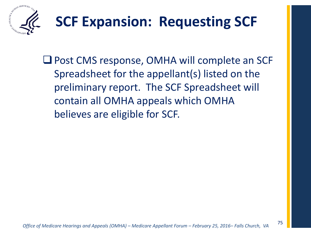

■ Post CMS response, OMHA will complete an SCF Spreadsheet for the appellant(s) listed on the preliminary report. The SCF Spreadsheet will contain all OMHA appeals which OMHA believes are eligible for SCF.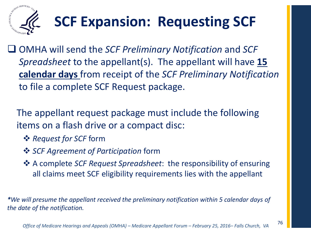

 OMHA will send the *SCF Preliminary Notification* and *SCF Spreadsheet* to the appellant(s). The appellant will have **15 calendar days** from receipt of the *SCF Preliminary Notification*  to file a complete SCF Request package.

The appellant request package must include the following items on a flash drive or a compact disc:

- *❖ Request for SCF form*
- *SCF Agreement of Participation* form
- A complete *SCF Request Spreadsheet*: the responsibility of ensuring all claims meet SCF eligibility requirements lies with the appellant

*\*We will presume the appellant received the preliminary notification within 5 calendar days of the date of the notification.*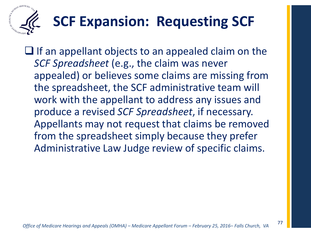

 $\Box$  If an appellant objects to an appealed claim on the *SCF Spreadsheet* (e.g., the claim was never appealed) or believes some claims are missing from the spreadsheet, the SCF administrative team will work with the appellant to address any issues and produce a revised *SCF Spreadsheet*, if necessary. Appellants may not request that claims be removed from the spreadsheet simply because they prefer Administrative Law Judge review of specific claims.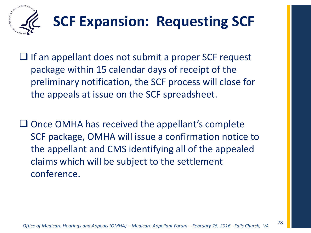

- $\Box$  If an appellant does not submit a proper SCF request package within 15 calendar days of receipt of the preliminary notification, the SCF process will close for the appeals at issue on the SCF spreadsheet.
- $\square$  Once OMHA has received the appellant's complete SCF package, OMHA will issue a confirmation notice to the appellant and CMS identifying all of the appealed claims which will be subject to the settlement conference.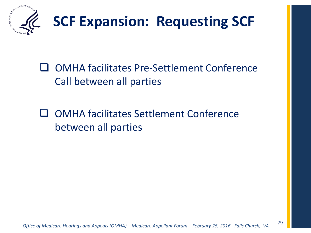

- OMHA facilitates Pre-Settlement Conference Call between all parties
- OMHA facilitates Settlement Conference between all parties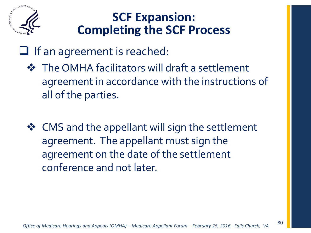

#### **SCF Expansion: Completing the SCF Process**

- $\Box$  If an agreement is reached:
	- **❖** The OMHA facilitators will draft a settlement agreement in accordance with the instructions of all of the parties.
	- ❖ CMS and the appellant will sign the settlement agreement. The appellant must sign the agreement on the date of the settlement conference and not later.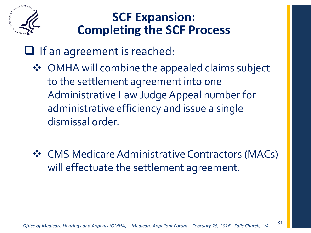

#### **SCF Expansion: Completing the SCF Process**

- $\Box$  If an agreement is reached:
	- ◆ OMHA will combine the appealed claims subject to the settlement agreement into one Administrative Law Judge Appeal number for administrative efficiency and issue a single dismissal order.
	- CMS Medicare Administrative Contractors (MACs) will effectuate the settlement agreement.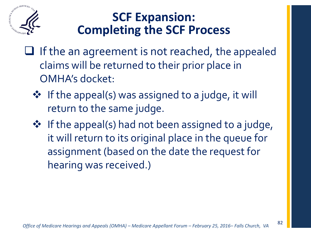

#### **SCF Expansion: Completing the SCF Process**

- $\Box$  If the an agreement is not reached, the appealed claims will be returned to their prior place in OMHA's docket:
	- ❖ If the appeal(s) was assigned to a judge, it will return to the same judge.
	- ❖ If the appeal(s) had not been assigned to a judge, it will return to its original place in the queue for assignment (based on the date the request for hearing was received.)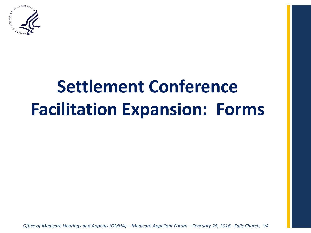

# **Settlement Conference Facilitation Expansion: Forms**

 *Office of Medicare Hearings and Appeals (OMHA) – Medicare Appellant Forum – February 25, 2016– Falls Church, VA*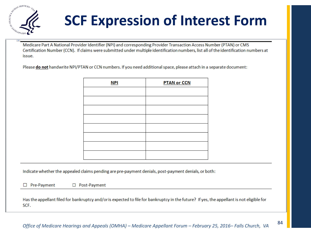

# **SCF Expression of Interest Form**

Medicare Part A National Provider Identifier (NPI) and corresponding Provider Transaction Access Number (PTAN) or CMS Certification Number (CCN). If claims were submitted under multiple identification numbers, list all of the identification numbers at issue.

Please do not handwrite NPI/PTAN or CCN numbers. If you need additional space, please attach in a separate document:

| $NPI$ | <b>PTAN or CCN</b> |  |  |  |  |
|-------|--------------------|--|--|--|--|
|       |                    |  |  |  |  |
|       |                    |  |  |  |  |
|       |                    |  |  |  |  |
|       |                    |  |  |  |  |
|       |                    |  |  |  |  |
|       |                    |  |  |  |  |
|       |                    |  |  |  |  |
|       |                    |  |  |  |  |

Indicate whether the appealed claims pending are pre-payment denials, post-payment denials, or both:

□ Post-Payment Pre-Payment

Has the appellant filed for bankruptcy and/or is expected to file for bankruptcy in the future? If yes, the appellant is not eligible for SCF.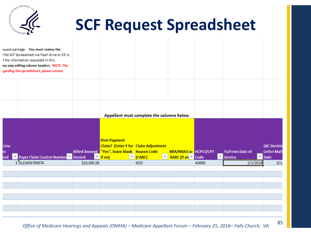

# **SCF Request Spreadsheet**

| equest package. You must review the<br>f the SCF Spreadsheet via flash drive or CD is<br>of the information requested in this<br>iny way editing column headers. NOTE: The<br>egarding this spreadsheet, please contact |             |                                                                                                                                              |                                            |                                               |       |                                              |                                                           |
|-------------------------------------------------------------------------------------------------------------------------------------------------------------------------------------------------------------------------|-------------|----------------------------------------------------------------------------------------------------------------------------------------------|--------------------------------------------|-----------------------------------------------|-------|----------------------------------------------|-----------------------------------------------------------|
|                                                                                                                                                                                                                         |             |                                                                                                                                              | Appellant must complete the columns below. |                                               |       |                                              |                                                           |
| Line<br>ns<br><b>Y</b> Payer Claim Control Number <b>Y</b> Denied<br>iied                                                                                                                                               |             | <b>Post-Payment</b><br><b>Claim?</b> (Enter Y for Claim Adjustment<br>Billed Amount "Yes", leave blank Reason Code<br>$\overline{\ }$ if no) | $\sqrt{\phantom{a}}$ (CARC)                | MIA/MIAO or HCPCS/CPT<br>▼ RARC (if an ▼ Code |       | <b>To/From Date of</b><br>$\sqrt{2}$ Service | <b>QIC Decisio</b><br><b>Letter Mail</b><br><b>Z</b> Date |
| 3 0123456789874                                                                                                                                                                                                         | \$10,000.00 |                                                                                                                                              | M25                                        |                                               | A0000 | 1/1/2014                                     | 3/1                                                       |
|                                                                                                                                                                                                                         |             |                                                                                                                                              |                                            |                                               |       |                                              |                                                           |
|                                                                                                                                                                                                                         |             |                                                                                                                                              |                                            |                                               |       |                                              |                                                           |
|                                                                                                                                                                                                                         |             |                                                                                                                                              |                                            |                                               |       |                                              |                                                           |
|                                                                                                                                                                                                                         |             |                                                                                                                                              |                                            |                                               |       |                                              |                                                           |
|                                                                                                                                                                                                                         |             |                                                                                                                                              |                                            |                                               |       |                                              |                                                           |
|                                                                                                                                                                                                                         |             |                                                                                                                                              |                                            |                                               |       |                                              |                                                           |
|                                                                                                                                                                                                                         |             |                                                                                                                                              |                                            |                                               |       |                                              |                                                           |
|                                                                                                                                                                                                                         |             |                                                                                                                                              |                                            |                                               |       |                                              |                                                           |

 *Office of Medicare Hearings and Appeals (OMHA) – Medicare Appellant Forum – February 25, 2016– Falls Church, VA*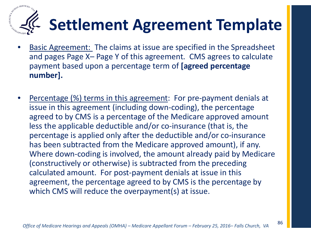### HEALTH **Settlement Agreement Template**

- Basic Agreement: The claims at issue are specified in the Spreadsheet and pages Page X– Page Y of this agreement. CMS agrees to calculate payment based upon a percentage term of **[agreed percentage number].**
- Percentage (%) terms in this agreement: For pre-payment denials at issue in this agreement (including down-coding), the percentage agreed to by CMS is a percentage of the Medicare approved amount less the applicable deductible and/or co-insurance (that is, the percentage is applied only after the deductible and/or co-insurance has been subtracted from the Medicare approved amount), if any. Where down-coding is involved, the amount already paid by Medicare (constructively or otherwise) is subtracted from the preceding calculated amount. For post-payment denials at issue in this agreement, the percentage agreed to by CMS is the percentage by which CMS will reduce the overpayment(s) at issue.